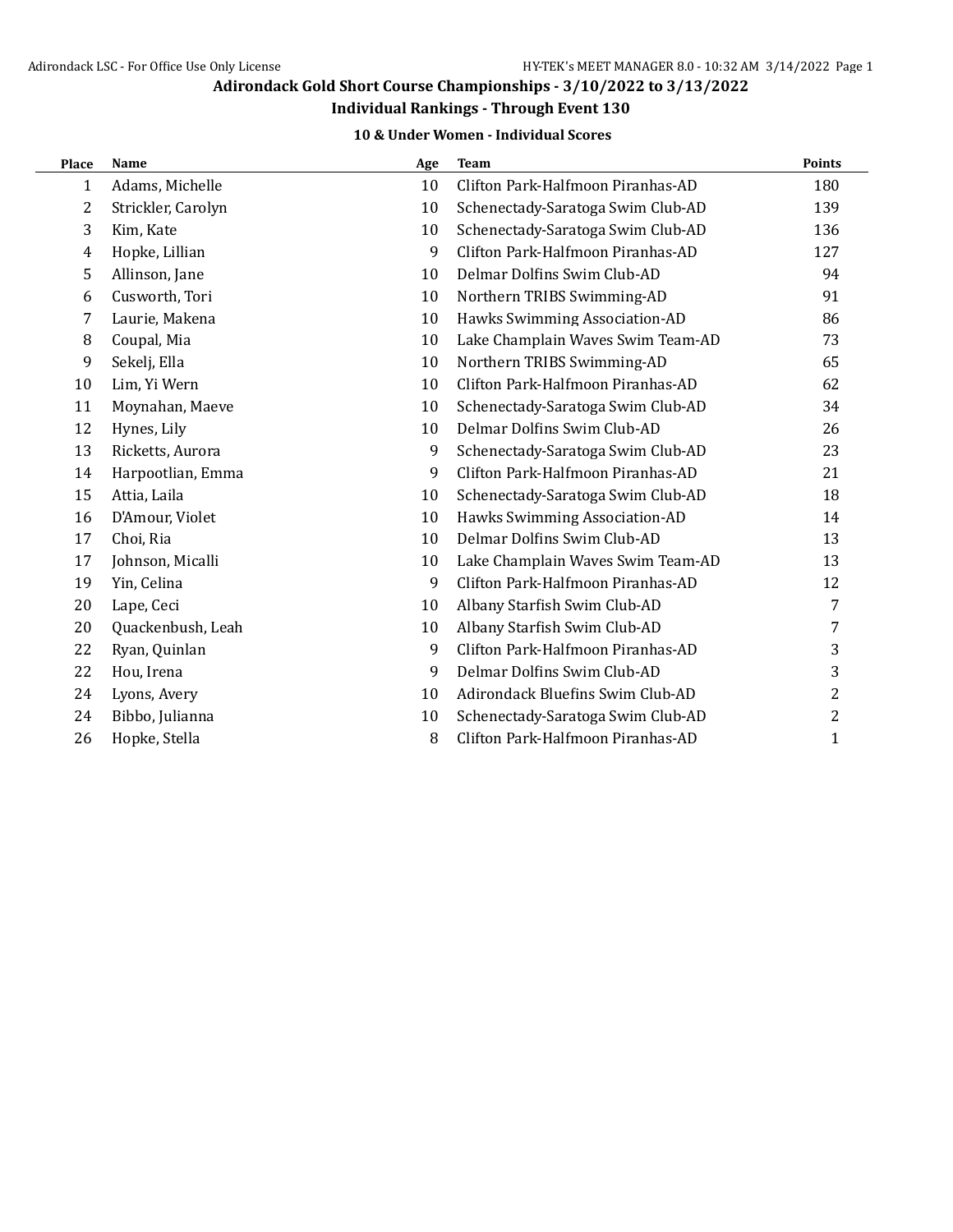### **Individual Rankings - Through Event 130**

### **10 & Under Women - Individual Scores**

| Place | <b>Name</b>        | Age | <b>Team</b>                       | <b>Points</b> |
|-------|--------------------|-----|-----------------------------------|---------------|
| 1     | Adams, Michelle    | 10  | Clifton Park-Halfmoon Piranhas-AD | 180           |
| 2     | Strickler, Carolyn | 10  | Schenectady-Saratoga Swim Club-AD | 139           |
| 3     | Kim, Kate          | 10  | Schenectady-Saratoga Swim Club-AD | 136           |
| 4     | Hopke, Lillian     | 9   | Clifton Park-Halfmoon Piranhas-AD | 127           |
| 5     | Allinson, Jane     | 10  | Delmar Dolfins Swim Club-AD       | 94            |
| 6     | Cusworth, Tori     | 10  | Northern TRIBS Swimming-AD        | 91            |
| 7     | Laurie, Makena     | 10  | Hawks Swimming Association-AD     | 86            |
| 8     | Coupal, Mia        | 10  | Lake Champlain Waves Swim Team-AD | 73            |
| 9     | Sekelj, Ella       | 10  | Northern TRIBS Swimming-AD        | 65            |
| 10    | Lim, Yi Wern       | 10  | Clifton Park-Halfmoon Piranhas-AD | 62            |
| 11    | Moynahan, Maeve    | 10  | Schenectady-Saratoga Swim Club-AD | 34            |
| 12    | Hynes, Lily        | 10  | Delmar Dolfins Swim Club-AD       | 26            |
| 13    | Ricketts, Aurora   | 9   | Schenectady-Saratoga Swim Club-AD | 23            |
| 14    | Harpootlian, Emma  | 9   | Clifton Park-Halfmoon Piranhas-AD | 21            |
| 15    | Attia, Laila       | 10  | Schenectady-Saratoga Swim Club-AD | 18            |
| 16    | D'Amour, Violet    | 10  | Hawks Swimming Association-AD     | 14            |
| 17    | Choi, Ria          | 10  | Delmar Dolfins Swim Club-AD       | 13            |
| 17    | Johnson, Micalli   | 10  | Lake Champlain Waves Swim Team-AD | 13            |
| 19    | Yin, Celina        | 9   | Clifton Park-Halfmoon Piranhas-AD | 12            |
| 20    | Lape, Ceci         | 10  | Albany Starfish Swim Club-AD      | 7             |
| 20    | Quackenbush, Leah  | 10  | Albany Starfish Swim Club-AD      | 7             |
| 22    | Ryan, Quinlan      | 9   | Clifton Park-Halfmoon Piranhas-AD | 3             |
| 22    | Hou, Irena         | 9   | Delmar Dolfins Swim Club-AD       | 3             |
| 24    | Lyons, Avery       | 10  | Adirondack Bluefins Swim Club-AD  | 2             |
| 24    | Bibbo, Julianna    | 10  | Schenectady-Saratoga Swim Club-AD | 2             |
| 26    | Hopke, Stella      | 8   | Clifton Park-Halfmoon Piranhas-AD | 1             |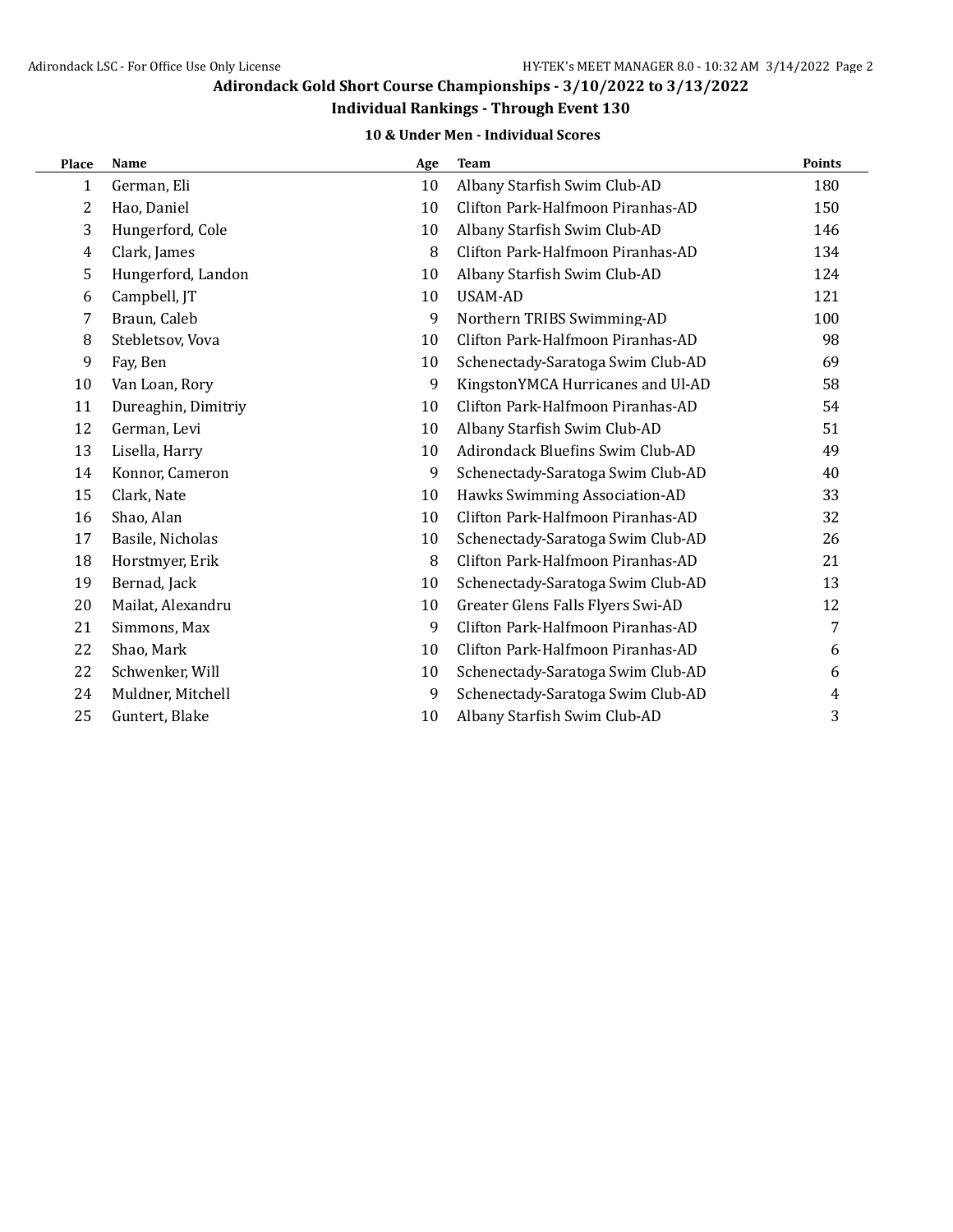### **Individual Rankings - Through Event 130**

#### **10 & Under Men - Individual Scores**

| Place | <b>Name</b>         | Age | <b>Team</b>                       | <b>Points</b> |
|-------|---------------------|-----|-----------------------------------|---------------|
| 1     | German, Eli         | 10  | Albany Starfish Swim Club-AD      | 180           |
| 2     | Hao, Daniel         | 10  | Clifton Park-Halfmoon Piranhas-AD | 150           |
| 3     | Hungerford, Cole    | 10  | Albany Starfish Swim Club-AD      | 146           |
| 4     | Clark, James        | 8   | Clifton Park-Halfmoon Piranhas-AD | 134           |
| 5     | Hungerford, Landon  | 10  | Albany Starfish Swim Club-AD      | 124           |
| 6     | Campbell, JT        | 10  | <b>USAM-AD</b>                    | 121           |
| 7     | Braun, Caleb        | 9   | Northern TRIBS Swimming-AD        | 100           |
| 8     | Stebletsov, Vova    | 10  | Clifton Park-Halfmoon Piranhas-AD | 98            |
| 9     | Fay, Ben            | 10  | Schenectady-Saratoga Swim Club-AD | 69            |
| 10    | Van Loan, Rory      | 9   | KingstonYMCA Hurricanes and Ul-AD | 58            |
| 11    | Dureaghin, Dimitriy | 10  | Clifton Park-Halfmoon Piranhas-AD | 54            |
| 12    | German, Levi        | 10  | Albany Starfish Swim Club-AD      | 51            |
| 13    | Lisella, Harry      | 10  | Adirondack Bluefins Swim Club-AD  | 49            |
| 14    | Konnor, Cameron     | 9   | Schenectady-Saratoga Swim Club-AD | 40            |
| 15    | Clark, Nate         | 10  | Hawks Swimming Association-AD     | 33            |
| 16    | Shao, Alan          | 10  | Clifton Park-Halfmoon Piranhas-AD | 32            |
| 17    | Basile, Nicholas    | 10  | Schenectady-Saratoga Swim Club-AD | 26            |
| 18    | Horstmyer, Erik     | 8   | Clifton Park-Halfmoon Piranhas-AD | 21            |
| 19    | Bernad, Jack        | 10  | Schenectady-Saratoga Swim Club-AD | 13            |
| 20    | Mailat, Alexandru   | 10  | Greater Glens Falls Flyers Swi-AD | 12            |
| 21    | Simmons, Max        | 9   | Clifton Park-Halfmoon Piranhas-AD | 7             |
| 22    | Shao, Mark          | 10  | Clifton Park-Halfmoon Piranhas-AD | 6             |
| 22    | Schwenker, Will     | 10  | Schenectady-Saratoga Swim Club-AD | 6             |
| 24    | Muldner, Mitchell   | 9   | Schenectady-Saratoga Swim Club-AD | 4             |
| 25    | Guntert, Blake      | 10  | Albany Starfish Swim Club-AD      | 3             |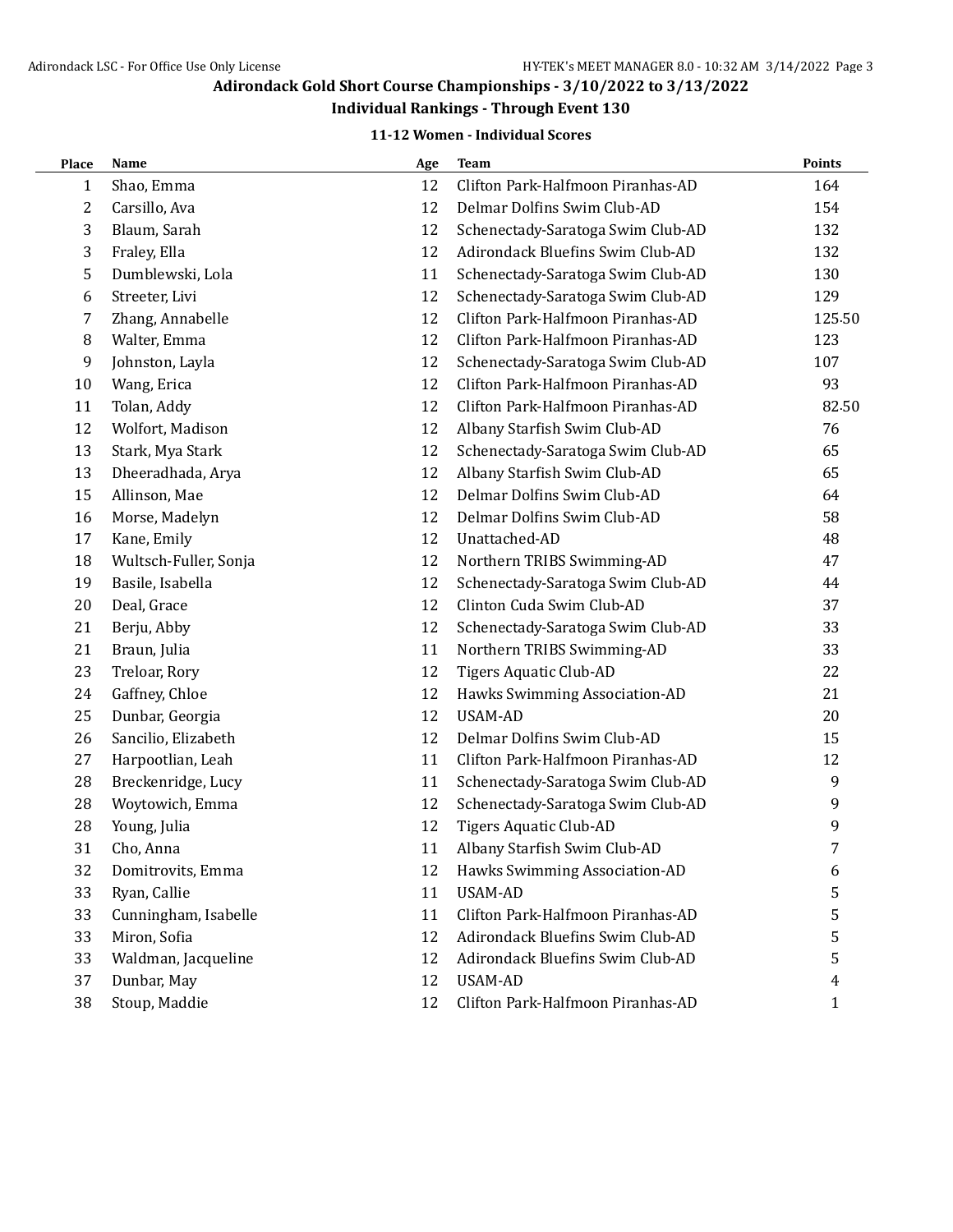## **Individual Rankings - Through Event 130**

### **11-12 Women - Individual Scores**

| Place            | Name                  | Age | <b>Team</b>                       | <b>Points</b> |
|------------------|-----------------------|-----|-----------------------------------|---------------|
| $\mathbf{1}$     | Shao, Emma            | 12  | Clifton Park-Halfmoon Piranhas-AD | 164           |
| $\boldsymbol{2}$ | Carsillo, Ava         | 12  | Delmar Dolfins Swim Club-AD       | 154           |
| 3                | Blaum, Sarah          | 12  | Schenectady-Saratoga Swim Club-AD | 132           |
| 3                | Fraley, Ella          | 12  | Adirondack Bluefins Swim Club-AD  | 132           |
| 5                | Dumblewski, Lola      | 11  | Schenectady-Saratoga Swim Club-AD | 130           |
| 6                | Streeter, Livi        | 12  | Schenectady-Saratoga Swim Club-AD | 129           |
| 7                | Zhang, Annabelle      | 12  | Clifton Park-Halfmoon Piranhas-AD | 125.50        |
| 8                | Walter, Emma          | 12  | Clifton Park-Halfmoon Piranhas-AD | 123           |
| 9                | Johnston, Layla       | 12  | Schenectady-Saratoga Swim Club-AD | 107           |
| 10               | Wang, Erica           | 12  | Clifton Park-Halfmoon Piranhas-AD | 93            |
| 11               | Tolan, Addy           | 12  | Clifton Park-Halfmoon Piranhas-AD | 82.50         |
| 12               | Wolfort, Madison      | 12  | Albany Starfish Swim Club-AD      | 76            |
| 13               | Stark, Mya Stark      | 12  | Schenectady-Saratoga Swim Club-AD | 65            |
| 13               | Dheeradhada, Arya     | 12  | Albany Starfish Swim Club-AD      | 65            |
| 15               | Allinson, Mae         | 12  | Delmar Dolfins Swim Club-AD       | 64            |
| 16               | Morse, Madelyn        | 12  | Delmar Dolfins Swim Club-AD       | 58            |
| 17               | Kane, Emily           | 12  | Unattached-AD                     | 48            |
| 18               | Wultsch-Fuller, Sonja | 12  | Northern TRIBS Swimming-AD        | 47            |
| 19               | Basile, Isabella      | 12  | Schenectady-Saratoga Swim Club-AD | 44            |
| 20               | Deal, Grace           | 12  | Clinton Cuda Swim Club-AD         | 37            |
| 21               | Berju, Abby           | 12  | Schenectady-Saratoga Swim Club-AD | 33            |
| 21               | Braun, Julia          | 11  | Northern TRIBS Swimming-AD        | 33            |
| 23               | Treloar, Rory         | 12  | <b>Tigers Aquatic Club-AD</b>     | 22            |
| 24               | Gaffney, Chloe        | 12  | Hawks Swimming Association-AD     | 21            |
| 25               | Dunbar, Georgia       | 12  | <b>USAM-AD</b>                    | 20            |
| 26               | Sancilio, Elizabeth   | 12  | Delmar Dolfins Swim Club-AD       | 15            |
| 27               | Harpootlian, Leah     | 11  | Clifton Park-Halfmoon Piranhas-AD | 12            |
| 28               | Breckenridge, Lucy    | 11  | Schenectady-Saratoga Swim Club-AD | 9             |
| 28               | Woytowich, Emma       | 12  | Schenectady-Saratoga Swim Club-AD | 9             |
| 28               | Young, Julia          | 12  | <b>Tigers Aquatic Club-AD</b>     | 9             |
| 31               | Cho, Anna             | 11  | Albany Starfish Swim Club-AD      | 7             |
| 32               | Domitrovits, Emma     | 12  | Hawks Swimming Association-AD     | 6             |
| 33               | Ryan, Callie          | 11  | <b>USAM-AD</b>                    | 5             |
| 33               | Cunningham, Isabelle  | 11  | Clifton Park-Halfmoon Piranhas-AD | 5             |
| 33               | Miron, Sofia          | 12  | Adirondack Bluefins Swim Club-AD  | 5             |
| 33               | Waldman, Jacqueline   | 12  | Adirondack Bluefins Swim Club-AD  | 5             |
| 37               | Dunbar, May           | 12  | <b>USAM-AD</b>                    | 4             |
| 38               | Stoup, Maddie         | 12  | Clifton Park-Halfmoon Piranhas-AD | 1             |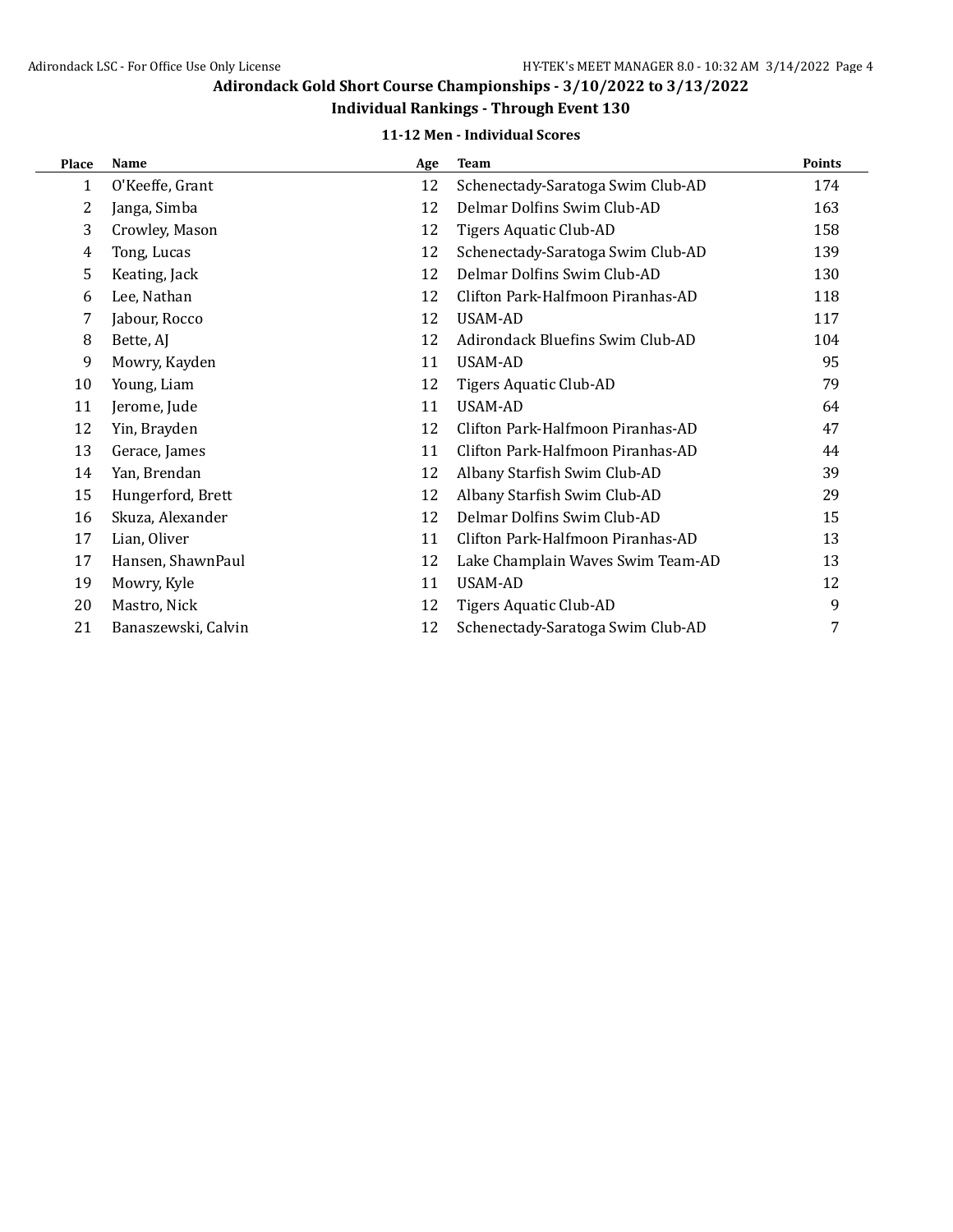# **Individual Rankings - Through Event 130**

### **11-12 Men - Individual Scores**

| Place | Name                | Age | <b>Team</b>                       | <b>Points</b> |
|-------|---------------------|-----|-----------------------------------|---------------|
| 1     | O'Keeffe, Grant     | 12  | Schenectady-Saratoga Swim Club-AD | 174           |
| 2     | Janga, Simba        | 12  | Delmar Dolfins Swim Club-AD       | 163           |
| 3     | Crowley, Mason      | 12  | <b>Tigers Aquatic Club-AD</b>     | 158           |
| 4     | Tong, Lucas         | 12  | Schenectady-Saratoga Swim Club-AD | 139           |
| 5     | Keating, Jack       | 12  | Delmar Dolfins Swim Club-AD       | 130           |
| 6     | Lee, Nathan         | 12  | Clifton Park-Halfmoon Piranhas-AD | 118           |
| 7     | Jabour, Rocco       | 12  | <b>USAM-AD</b>                    | 117           |
| 8     | Bette, AJ           | 12  | Adirondack Bluefins Swim Club-AD  | 104           |
| 9     | Mowry, Kayden       | 11  | USAM-AD                           | 95            |
| 10    | Young, Liam         | 12  | Tigers Aquatic Club-AD            | 79            |
| 11    | Jerome, Jude        | 11  | USAM-AD                           | 64            |
| 12    | Yin, Brayden        | 12  | Clifton Park-Halfmoon Piranhas-AD | 47            |
| 13    | Gerace, James       | 11  | Clifton Park-Halfmoon Piranhas-AD | 44            |
| 14    | Yan, Brendan        | 12  | Albany Starfish Swim Club-AD      | 39            |
| 15    | Hungerford, Brett   | 12  | Albany Starfish Swim Club-AD      | 29            |
| 16    | Skuza, Alexander    | 12  | Delmar Dolfins Swim Club-AD       | 15            |
| 17    | Lian, Oliver        | 11  | Clifton Park-Halfmoon Piranhas-AD | 13            |
| 17    | Hansen, ShawnPaul   | 12  | Lake Champlain Waves Swim Team-AD | 13            |
| 19    | Mowry, Kyle         | 11  | <b>USAM-AD</b>                    | 12            |
| 20    | Mastro, Nick        | 12  | Tigers Aquatic Club-AD            | 9             |
| 21    | Banaszewski, Calvin | 12  | Schenectady-Saratoga Swim Club-AD | 7             |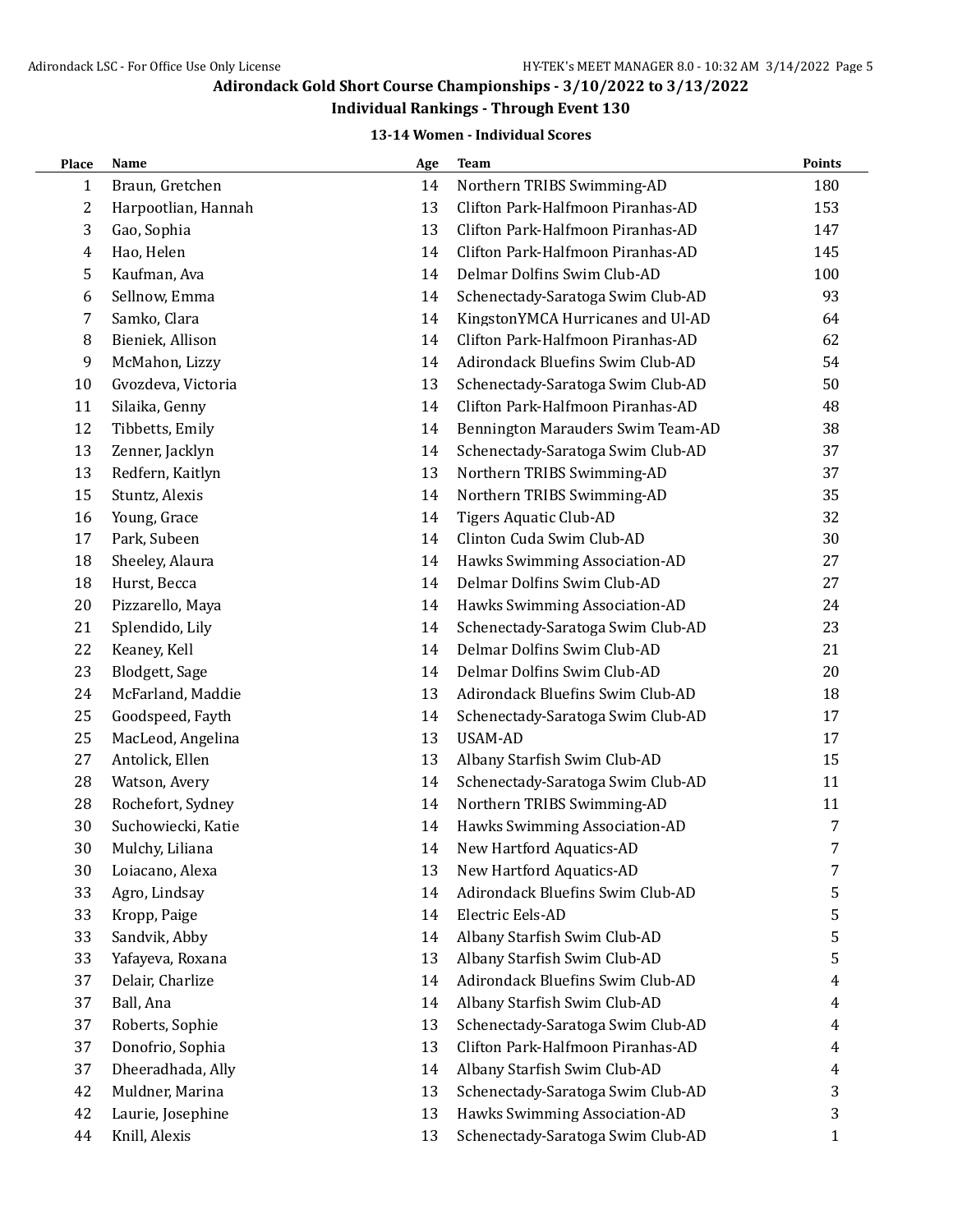## **Individual Rankings - Through Event 130**

### **13-14 Women - Individual Scores**

| Place | Name                | Age | <b>Team</b>                       | <b>Points</b> |
|-------|---------------------|-----|-----------------------------------|---------------|
| 1     | Braun, Gretchen     | 14  | Northern TRIBS Swimming-AD        | 180           |
| 2     | Harpootlian, Hannah | 13  | Clifton Park-Halfmoon Piranhas-AD | 153           |
| 3     | Gao, Sophia         | 13  | Clifton Park-Halfmoon Piranhas-AD | 147           |
| 4     | Hao, Helen          | 14  | Clifton Park-Halfmoon Piranhas-AD | 145           |
| 5     | Kaufman, Ava        | 14  | Delmar Dolfins Swim Club-AD       | 100           |
| 6     | Sellnow, Emma       | 14  | Schenectady-Saratoga Swim Club-AD | 93            |
| 7     | Samko, Clara        | 14  | KingstonYMCA Hurricanes and Ul-AD | 64            |
| 8     | Bieniek, Allison    | 14  | Clifton Park-Halfmoon Piranhas-AD | 62            |
| 9     | McMahon, Lizzy      | 14  | Adirondack Bluefins Swim Club-AD  | 54            |
| 10    | Gvozdeva, Victoria  | 13  | Schenectady-Saratoga Swim Club-AD | 50            |
| 11    | Silaika, Genny      | 14  | Clifton Park-Halfmoon Piranhas-AD | 48            |
| 12    | Tibbetts, Emily     | 14  | Bennington Marauders Swim Team-AD | 38            |
| 13    | Zenner, Jacklyn     | 14  | Schenectady-Saratoga Swim Club-AD | 37            |
| 13    | Redfern, Kaitlyn    | 13  | Northern TRIBS Swimming-AD        | 37            |
| 15    | Stuntz, Alexis      | 14  | Northern TRIBS Swimming-AD        | 35            |
| 16    | Young, Grace        | 14  | <b>Tigers Aquatic Club-AD</b>     | 32            |
| 17    | Park, Subeen        | 14  | Clinton Cuda Swim Club-AD         | 30            |
| 18    | Sheeley, Alaura     | 14  | Hawks Swimming Association-AD     | 27            |
| 18    | Hurst, Becca        | 14  | Delmar Dolfins Swim Club-AD       | 27            |
| 20    | Pizzarello, Maya    | 14  | Hawks Swimming Association-AD     | 24            |
| 21    | Splendido, Lily     | 14  | Schenectady-Saratoga Swim Club-AD | 23            |
| 22    | Keaney, Kell        | 14  | Delmar Dolfins Swim Club-AD       | 21            |
| 23    | Blodgett, Sage      | 14  | Delmar Dolfins Swim Club-AD       | 20            |
| 24    | McFarland, Maddie   | 13  | Adirondack Bluefins Swim Club-AD  | 18            |
| 25    | Goodspeed, Fayth    | 14  | Schenectady-Saratoga Swim Club-AD | 17            |
| 25    | MacLeod, Angelina   | 13  | <b>USAM-AD</b>                    | 17            |
| 27    | Antolick, Ellen     | 13  | Albany Starfish Swim Club-AD      | 15            |
| 28    | Watson, Avery       | 14  | Schenectady-Saratoga Swim Club-AD | 11            |
| 28    | Rochefort, Sydney   | 14  | Northern TRIBS Swimming-AD        | 11            |
| 30    | Suchowiecki, Katie  | 14  | Hawks Swimming Association-AD     | 7             |
| 30    | Mulchy, Liliana     | 14  | New Hartford Aquatics-AD          | 7             |
| 30    | Loiacano, Alexa     | 13  | New Hartford Aquatics-AD          | 7             |
| 33    | Agro, Lindsay       | 14  | Adirondack Bluefins Swim Club-AD  | 5             |
| 33    | Kropp, Paige        | 14  | Electric Eels-AD                  | 5             |
| 33    | Sandvik, Abby       | 14  | Albany Starfish Swim Club-AD      | 5             |
| 33    | Yafayeva, Roxana    | 13  | Albany Starfish Swim Club-AD      | 5             |
| 37    | Delair, Charlize    | 14  | Adirondack Bluefins Swim Club-AD  | 4             |
| 37    | Ball, Ana           | 14  | Albany Starfish Swim Club-AD      | 4             |
| 37    | Roberts, Sophie     | 13  | Schenectady-Saratoga Swim Club-AD | 4             |
| 37    | Donofrio, Sophia    | 13  | Clifton Park-Halfmoon Piranhas-AD | 4             |
| 37    | Dheeradhada, Ally   | 14  | Albany Starfish Swim Club-AD      | 4             |
| 42    | Muldner, Marina     | 13  | Schenectady-Saratoga Swim Club-AD | 3             |
| 42    | Laurie, Josephine   | 13  | Hawks Swimming Association-AD     | 3             |
| 44    | Knill, Alexis       | 13  | Schenectady-Saratoga Swim Club-AD | 1             |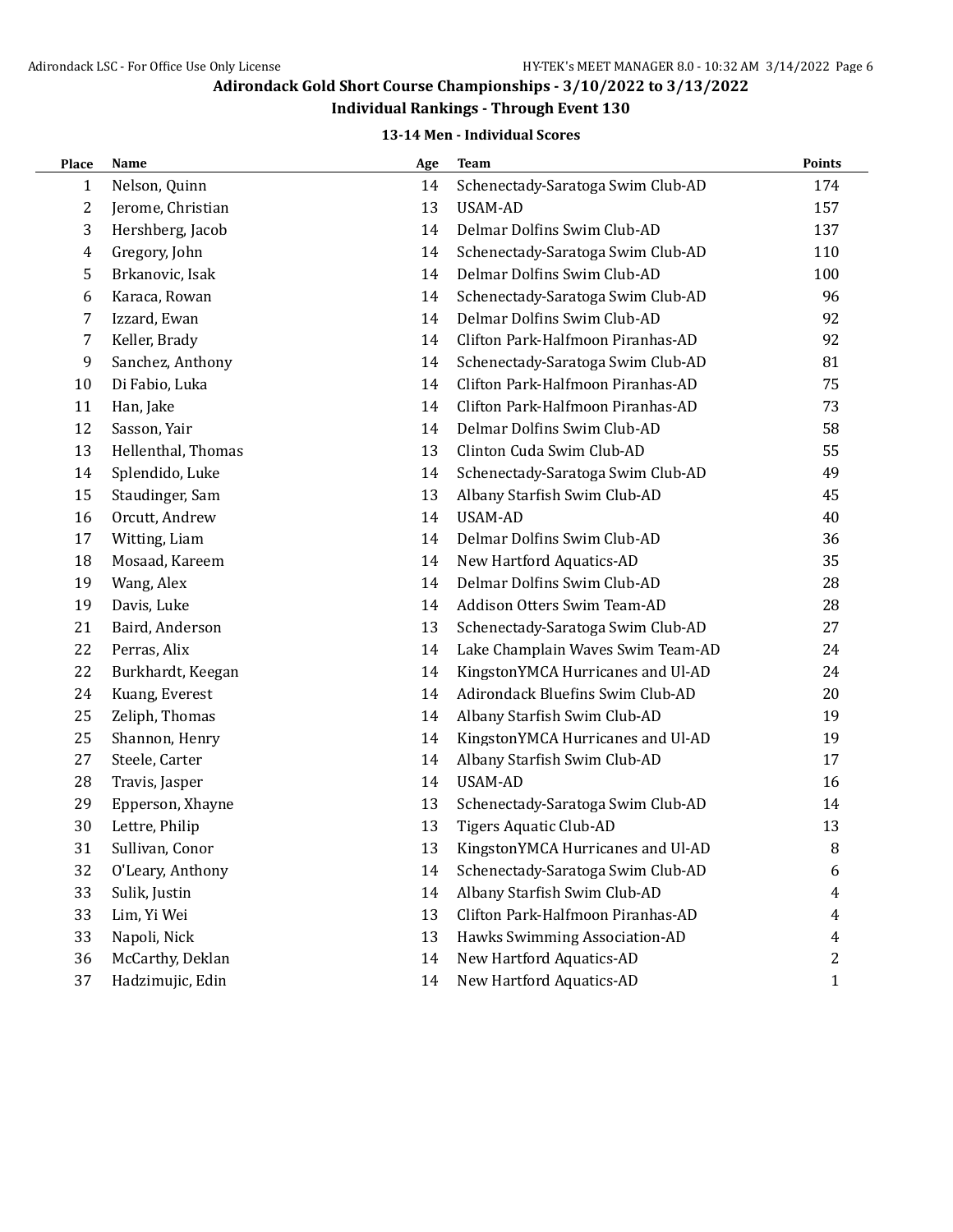## **Individual Rankings - Through Event 130**

### **13-14 Men - Individual Scores**

| Place | <b>Name</b>        | Age | <b>Team</b>                       | Points       |
|-------|--------------------|-----|-----------------------------------|--------------|
| 1     | Nelson, Quinn      | 14  | Schenectady-Saratoga Swim Club-AD | 174          |
| 2     | Jerome, Christian  | 13  | USAM-AD                           | 157          |
| 3     | Hershberg, Jacob   | 14  | Delmar Dolfins Swim Club-AD       | 137          |
| 4     | Gregory, John      | 14  | Schenectady-Saratoga Swim Club-AD | 110          |
| 5     | Brkanovic, Isak    | 14  | Delmar Dolfins Swim Club-AD       | 100          |
| 6     | Karaca, Rowan      | 14  | Schenectady-Saratoga Swim Club-AD | 96           |
| 7     | Izzard, Ewan       | 14  | Delmar Dolfins Swim Club-AD       | 92           |
| 7     | Keller, Brady      | 14  | Clifton Park-Halfmoon Piranhas-AD | 92           |
| 9     | Sanchez, Anthony   | 14  | Schenectady-Saratoga Swim Club-AD | 81           |
| 10    | Di Fabio, Luka     | 14  | Clifton Park-Halfmoon Piranhas-AD | 75           |
| 11    | Han, Jake          | 14  | Clifton Park-Halfmoon Piranhas-AD | 73           |
| 12    | Sasson, Yair       | 14  | Delmar Dolfins Swim Club-AD       | 58           |
| 13    | Hellenthal, Thomas | 13  | Clinton Cuda Swim Club-AD         | 55           |
| 14    | Splendido, Luke    | 14  | Schenectady-Saratoga Swim Club-AD | 49           |
| 15    | Staudinger, Sam    | 13  | Albany Starfish Swim Club-AD      | 45           |
| 16    | Orcutt, Andrew     | 14  | <b>USAM-AD</b>                    | 40           |
| 17    | Witting, Liam      | 14  | Delmar Dolfins Swim Club-AD       | 36           |
| 18    | Mosaad, Kareem     | 14  | New Hartford Aquatics-AD          | 35           |
| 19    | Wang, Alex         | 14  | Delmar Dolfins Swim Club-AD       | 28           |
| 19    | Davis, Luke        | 14  | Addison Otters Swim Team-AD       | 28           |
| 21    | Baird, Anderson    | 13  | Schenectady-Saratoga Swim Club-AD | 27           |
| 22    | Perras, Alix       | 14  | Lake Champlain Waves Swim Team-AD | 24           |
| 22    | Burkhardt, Keegan  | 14  | KingstonYMCA Hurricanes and Ul-AD | 24           |
| 24    | Kuang, Everest     | 14  | Adirondack Bluefins Swim Club-AD  | 20           |
| 25    | Zeliph, Thomas     | 14  | Albany Starfish Swim Club-AD      | 19           |
| 25    | Shannon, Henry     | 14  | KingstonYMCA Hurricanes and Ul-AD | 19           |
| 27    | Steele, Carter     | 14  | Albany Starfish Swim Club-AD      | 17           |
| 28    | Travis, Jasper     | 14  | <b>USAM-AD</b>                    | 16           |
| 29    | Epperson, Xhayne   | 13  | Schenectady-Saratoga Swim Club-AD | 14           |
| 30    | Lettre, Philip     | 13  | <b>Tigers Aquatic Club-AD</b>     | 13           |
| 31    | Sullivan, Conor    | 13  | KingstonYMCA Hurricanes and Ul-AD | 8            |
| 32    | O'Leary, Anthony   | 14  | Schenectady-Saratoga Swim Club-AD | 6            |
| 33    | Sulik, Justin      | 14  | Albany Starfish Swim Club-AD      | 4            |
| 33    | Lim, Yi Wei        | 13  | Clifton Park-Halfmoon Piranhas-AD | 4            |
| 33    | Napoli, Nick       | 13  | Hawks Swimming Association-AD     | 4            |
| 36    | McCarthy, Deklan   | 14  | New Hartford Aquatics-AD          | 2            |
| 37    | Hadzimujic, Edin   | 14  | New Hartford Aquatics-AD          | $\mathbf{1}$ |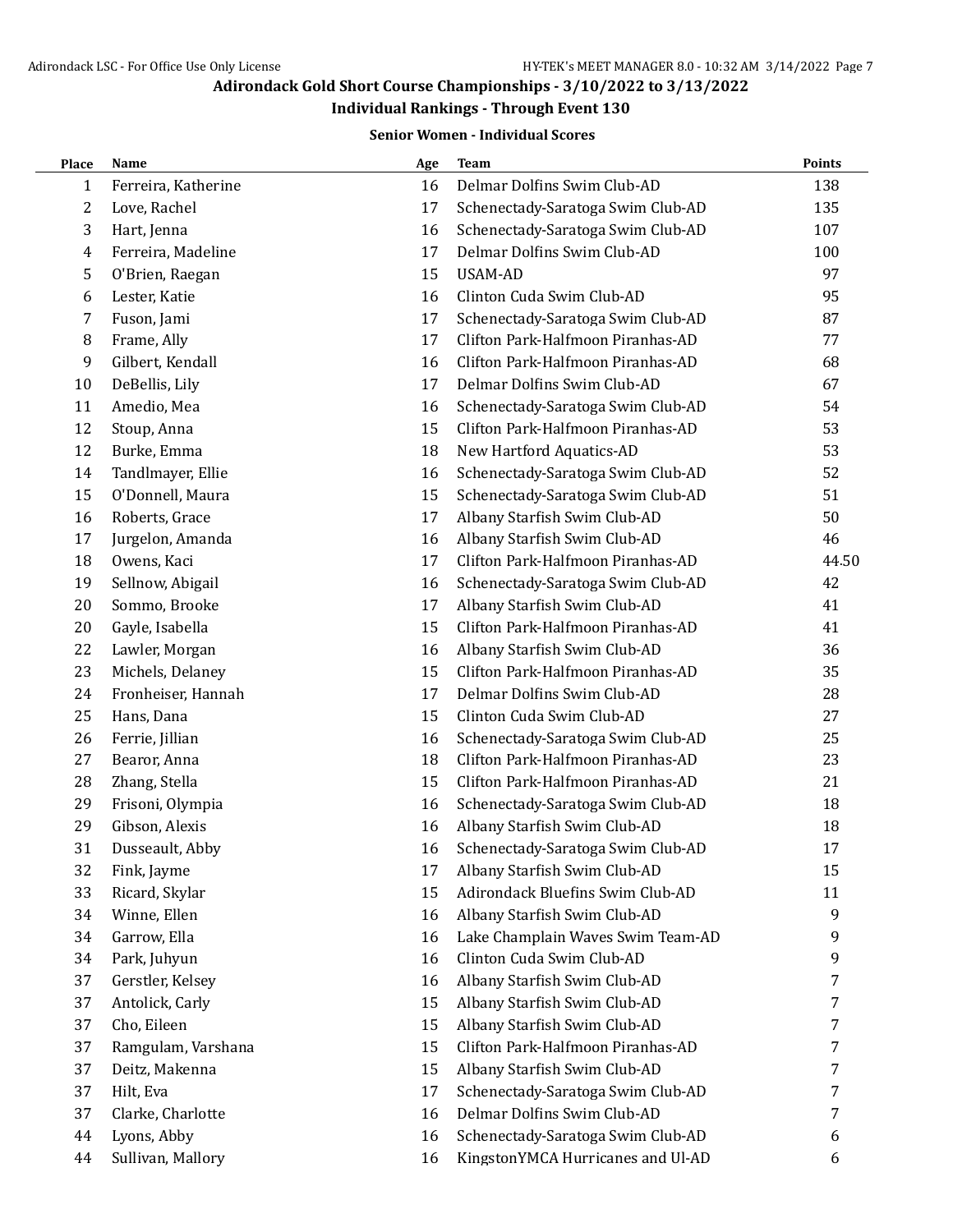### **Individual Rankings - Through Event 130**

#### **Senior Women - Individual Scores**

| Place | Name                | Age | Team                              | <b>Points</b> |
|-------|---------------------|-----|-----------------------------------|---------------|
| 1     | Ferreira, Katherine | 16  | Delmar Dolfins Swim Club-AD       | 138           |
| 2     | Love, Rachel        | 17  | Schenectady-Saratoga Swim Club-AD | 135           |
| 3     | Hart, Jenna         | 16  | Schenectady-Saratoga Swim Club-AD | 107           |
| 4     | Ferreira, Madeline  | 17  | Delmar Dolfins Swim Club-AD       | 100           |
| 5     | O'Brien, Raegan     | 15  | <b>USAM-AD</b>                    | 97            |
| 6     | Lester, Katie       | 16  | Clinton Cuda Swim Club-AD         | 95            |
| 7     | Fuson, Jami         | 17  | Schenectady-Saratoga Swim Club-AD | 87            |
| 8     | Frame, Ally         | 17  | Clifton Park-Halfmoon Piranhas-AD | 77            |
| 9     | Gilbert, Kendall    | 16  | Clifton Park-Halfmoon Piranhas-AD | 68            |
| 10    | DeBellis, Lily      | 17  | Delmar Dolfins Swim Club-AD       | 67            |
| 11    | Amedio, Mea         | 16  | Schenectady-Saratoga Swim Club-AD | 54            |
| 12    | Stoup, Anna         | 15  | Clifton Park-Halfmoon Piranhas-AD | 53            |
| 12    | Burke, Emma         | 18  | New Hartford Aquatics-AD          | 53            |
| 14    | Tandlmayer, Ellie   | 16  | Schenectady-Saratoga Swim Club-AD | 52            |
| 15    | O'Donnell, Maura    | 15  | Schenectady-Saratoga Swim Club-AD | 51            |
| 16    | Roberts, Grace      | 17  | Albany Starfish Swim Club-AD      | 50            |
| 17    | Jurgelon, Amanda    | 16  | Albany Starfish Swim Club-AD      | 46            |
| 18    | Owens, Kaci         | 17  | Clifton Park-Halfmoon Piranhas-AD | 44.50         |
| 19    | Sellnow, Abigail    | 16  | Schenectady-Saratoga Swim Club-AD | 42            |
| 20    | Sommo, Brooke       | 17  | Albany Starfish Swim Club-AD      | 41            |
| 20    | Gayle, Isabella     | 15  | Clifton Park-Halfmoon Piranhas-AD | 41            |
| 22    | Lawler, Morgan      | 16  | Albany Starfish Swim Club-AD      | 36            |
| 23    | Michels, Delaney    | 15  | Clifton Park-Halfmoon Piranhas-AD | 35            |
| 24    | Fronheiser, Hannah  | 17  | Delmar Dolfins Swim Club-AD       | 28            |
| 25    | Hans, Dana          | 15  | Clinton Cuda Swim Club-AD         | 27            |
| 26    | Ferrie, Jillian     | 16  | Schenectady-Saratoga Swim Club-AD | 25            |
| 27    | Bearor, Anna        | 18  | Clifton Park-Halfmoon Piranhas-AD | 23            |
| 28    | Zhang, Stella       | 15  | Clifton Park-Halfmoon Piranhas-AD | 21            |
| 29    | Frisoni, Olympia    | 16  | Schenectady-Saratoga Swim Club-AD | 18            |
| 29    | Gibson, Alexis      | 16  | Albany Starfish Swim Club-AD      | 18            |
| 31    | Dusseault, Abby     | 16  | Schenectady-Saratoga Swim Club-AD | 17            |
| 32    | Fink, Jayme         | 17  | Albany Starfish Swim Club-AD      | 15            |
| 33    | Ricard, Skylar      | 15  | Adirondack Bluefins Swim Club-AD  | 11            |
| 34    | Winne, Ellen        | 16  | Albany Starfish Swim Club-AD      | 9             |
| 34    | Garrow, Ella        | 16  | Lake Champlain Waves Swim Team-AD | 9             |
| 34    | Park, Juhyun        | 16  | Clinton Cuda Swim Club-AD         | 9             |
| 37    | Gerstler, Kelsey    | 16  | Albany Starfish Swim Club-AD      | 7             |
| 37    | Antolick, Carly     | 15  | Albany Starfish Swim Club-AD      | 7             |
| 37    | Cho, Eileen         | 15  | Albany Starfish Swim Club-AD      | 7             |
| 37    | Ramgulam, Varshana  | 15  | Clifton Park-Halfmoon Piranhas-AD | 7             |
| 37    | Deitz, Makenna      | 15  | Albany Starfish Swim Club-AD      | 7             |
| 37    | Hilt, Eva           | 17  | Schenectady-Saratoga Swim Club-AD | 7             |
| 37    | Clarke, Charlotte   | 16  | Delmar Dolfins Swim Club-AD       | 7             |
| 44    | Lyons, Abby         | 16  | Schenectady-Saratoga Swim Club-AD | 6             |
| 44    | Sullivan, Mallory   | 16  | KingstonYMCA Hurricanes and Ul-AD | 6             |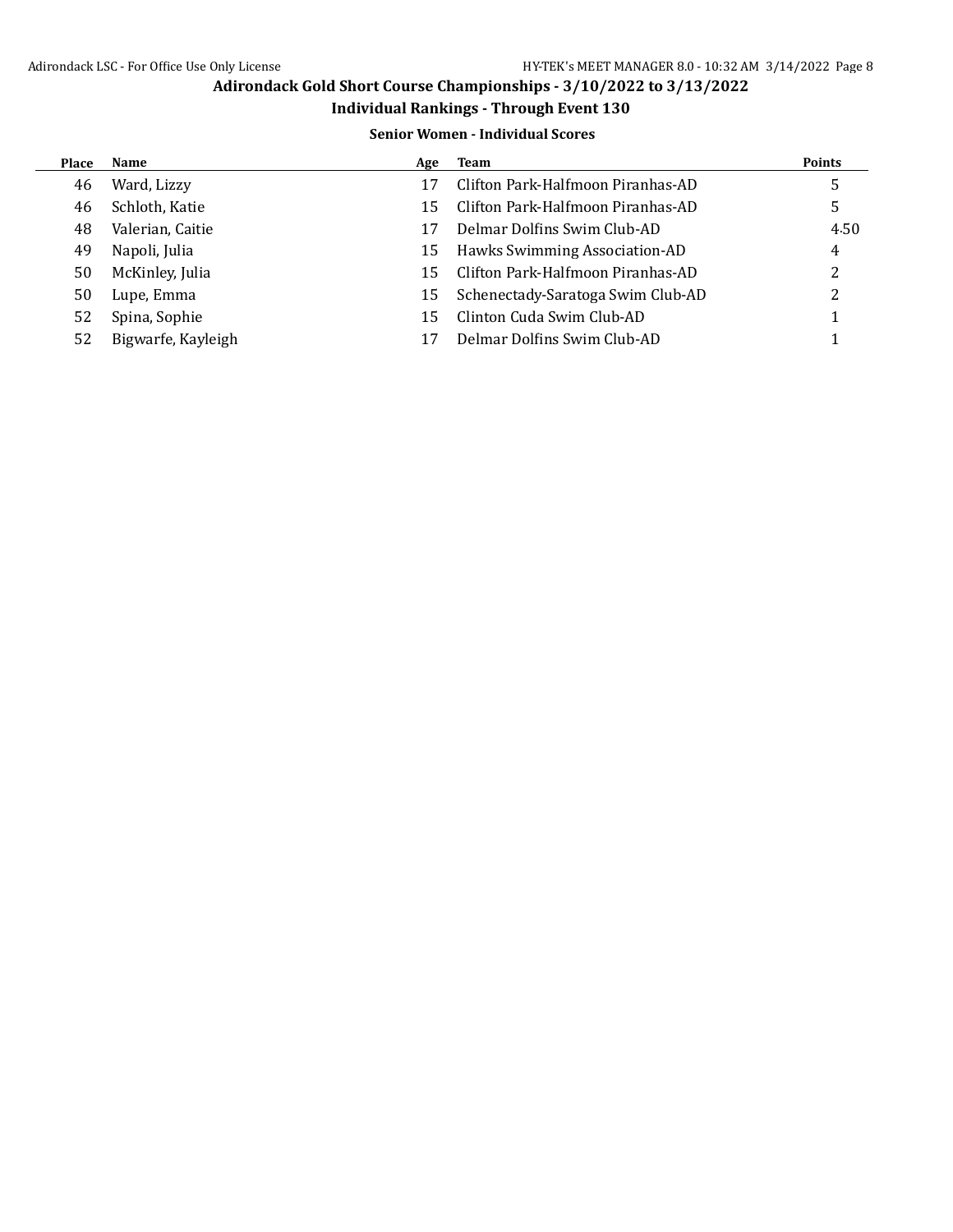### **Individual Rankings - Through Event 130**

### **Senior Women - Individual Scores**

| Place | Name               | Age | Team                              | <b>Points</b> |
|-------|--------------------|-----|-----------------------------------|---------------|
| 46    | Ward, Lizzy        | 17  | Clifton Park-Halfmoon Piranhas-AD | כ             |
| 46    | Schloth, Katie     | 15  | Clifton Park-Halfmoon Piranhas-AD | 5             |
| 48    | Valerian, Caitie   | 17  | Delmar Dolfins Swim Club-AD       | 4.50          |
| 49    | Napoli, Julia      | 15  | Hawks Swimming Association-AD     | 4             |
| 50    | McKinley, Julia    | 15  | Clifton Park-Halfmoon Piranhas-AD | 2             |
| 50    | Lupe, Emma         | 15  | Schenectady-Saratoga Swim Club-AD | っ             |
| 52    | Spina, Sophie      | 15  | Clinton Cuda Swim Club-AD         |               |
| 52    | Bigwarfe, Kayleigh | 17  | Delmar Dolfins Swim Club-AD       |               |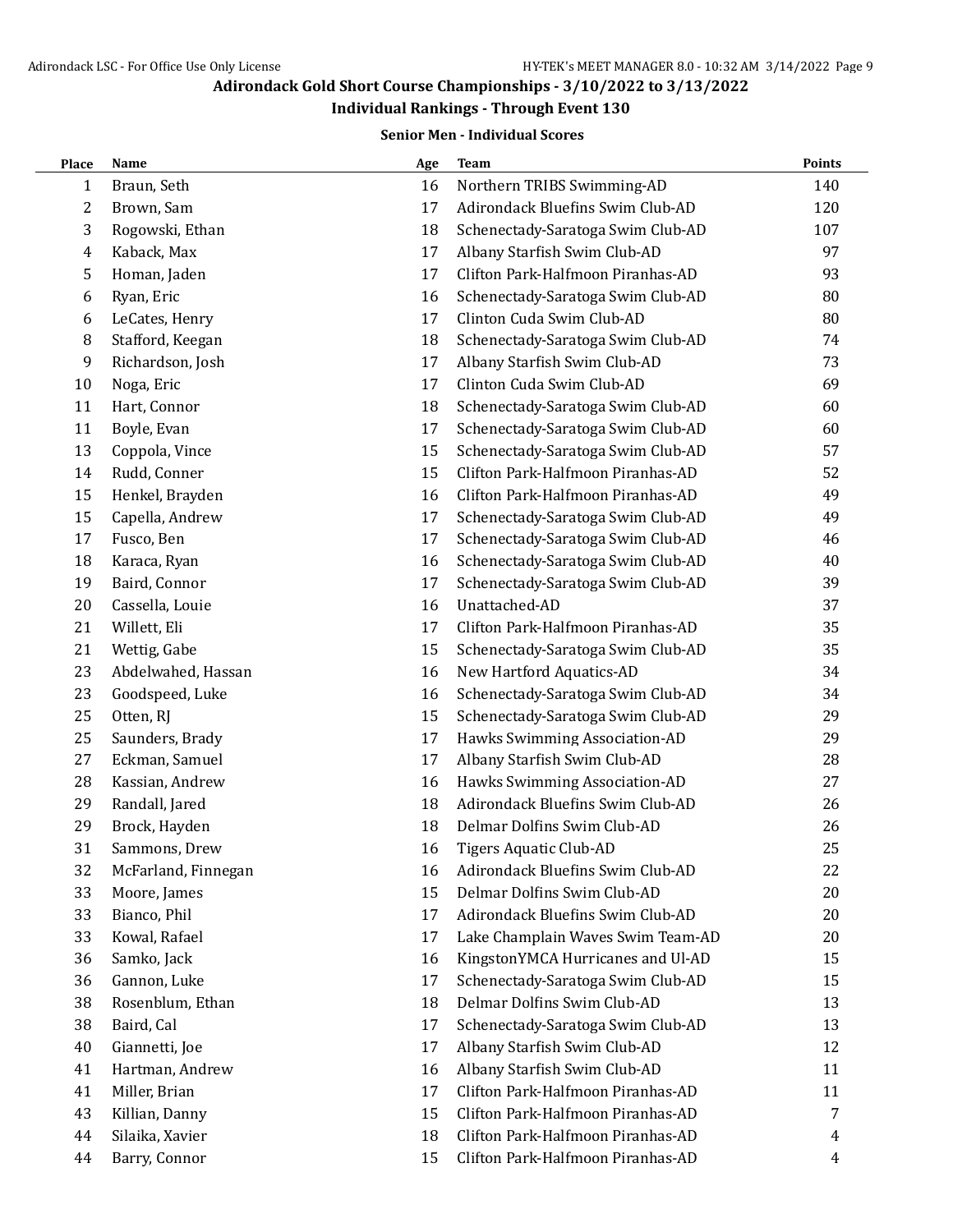## **Individual Rankings - Through Event 130**

#### **Senior Men - Individual Scores**

| Place | Name                | Age | <b>Team</b>                       | <b>Points</b> |
|-------|---------------------|-----|-----------------------------------|---------------|
| 1     | Braun, Seth         | 16  | Northern TRIBS Swimming-AD        | 140           |
| 2     | Brown, Sam          | 17  | Adirondack Bluefins Swim Club-AD  | 120           |
| 3     | Rogowski, Ethan     | 18  | Schenectady-Saratoga Swim Club-AD | 107           |
| 4     | Kaback, Max         | 17  | Albany Starfish Swim Club-AD      | 97            |
| 5     | Homan, Jaden        | 17  | Clifton Park-Halfmoon Piranhas-AD | 93            |
| 6     | Ryan, Eric          | 16  | Schenectady-Saratoga Swim Club-AD | 80            |
| 6     | LeCates, Henry      | 17  | Clinton Cuda Swim Club-AD         | 80            |
| 8     | Stafford, Keegan    | 18  | Schenectady-Saratoga Swim Club-AD | 74            |
| 9     | Richardson, Josh    | 17  | Albany Starfish Swim Club-AD      | 73            |
| 10    | Noga, Eric          | 17  | Clinton Cuda Swim Club-AD         | 69            |
| 11    | Hart, Connor        | 18  | Schenectady-Saratoga Swim Club-AD | 60            |
| 11    | Boyle, Evan         | 17  | Schenectady-Saratoga Swim Club-AD | 60            |
| 13    | Coppola, Vince      | 15  | Schenectady-Saratoga Swim Club-AD | 57            |
| 14    | Rudd, Conner        | 15  | Clifton Park-Halfmoon Piranhas-AD | 52            |
| 15    | Henkel, Brayden     | 16  | Clifton Park-Halfmoon Piranhas-AD | 49            |
| 15    | Capella, Andrew     | 17  | Schenectady-Saratoga Swim Club-AD | 49            |
| 17    | Fusco, Ben          | 17  | Schenectady-Saratoga Swim Club-AD | 46            |
| 18    | Karaca, Ryan        | 16  | Schenectady-Saratoga Swim Club-AD | 40            |
| 19    | Baird, Connor       | 17  | Schenectady-Saratoga Swim Club-AD | 39            |
| 20    | Cassella, Louie     | 16  | Unattached-AD                     | 37            |
| 21    | Willett, Eli        | 17  | Clifton Park-Halfmoon Piranhas-AD | 35            |
| 21    | Wettig, Gabe        | 15  | Schenectady-Saratoga Swim Club-AD | 35            |
| 23    | Abdelwahed, Hassan  | 16  | New Hartford Aquatics-AD          | 34            |
| 23    | Goodspeed, Luke     | 16  | Schenectady-Saratoga Swim Club-AD | 34            |
| 25    | Otten, RJ           | 15  | Schenectady-Saratoga Swim Club-AD | 29            |
| 25    | Saunders, Brady     | 17  | Hawks Swimming Association-AD     | 29            |
| 27    | Eckman, Samuel      | 17  | Albany Starfish Swim Club-AD      | 28            |
| 28    | Kassian, Andrew     | 16  | Hawks Swimming Association-AD     | 27            |
| 29    | Randall, Jared      | 18  | Adirondack Bluefins Swim Club-AD  | 26            |
| 29    | Brock, Hayden       | 18  | Delmar Dolfins Swim Club-AD       | 26            |
| 31    | Sammons, Drew       | 16  | Tigers Aquatic Club-AD            | 25            |
| 32    | McFarland, Finnegan | 16  | Adirondack Bluefins Swim Club-AD  | 22            |
| 33    | Moore, James        | 15  | Delmar Dolfins Swim Club-AD       | 20            |
| 33    | Bianco, Phil        | 17  | Adirondack Bluefins Swim Club-AD  | 20            |
| 33    | Kowal, Rafael       | 17  | Lake Champlain Waves Swim Team-AD | 20            |
| 36    | Samko, Jack         | 16  | KingstonYMCA Hurricanes and Ul-AD | 15            |
| 36    | Gannon, Luke        | 17  | Schenectady-Saratoga Swim Club-AD | 15            |
| 38    | Rosenblum, Ethan    | 18  | Delmar Dolfins Swim Club-AD       | 13            |
| 38    | Baird, Cal          | 17  | Schenectady-Saratoga Swim Club-AD | 13            |
| 40    | Giannetti, Joe      | 17  | Albany Starfish Swim Club-AD      | 12            |
| 41    | Hartman, Andrew     | 16  | Albany Starfish Swim Club-AD      | 11            |
| 41    | Miller, Brian       | 17  | Clifton Park-Halfmoon Piranhas-AD | 11            |
| 43    | Killian, Danny      | 15  | Clifton Park-Halfmoon Piranhas-AD | 7             |
| 44    | Silaika, Xavier     | 18  | Clifton Park-Halfmoon Piranhas-AD | 4             |
| 44    | Barry, Connor       | 15  | Clifton Park-Halfmoon Piranhas-AD | 4             |